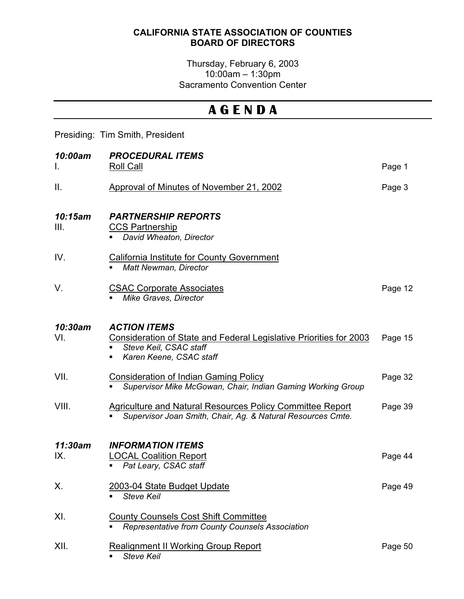## CALIFORNIA STATE ASSOCIATION OF COUNTIES BOARD OF DIRECTORS

## Thursday, February 6, 2003 10:00am – 1:30pm Sacramento Convention Center

## A G E N D A

## Presiding: Tim Smith, President

| 10:00am         | <b>PROCEDURAL ITEMS</b>                                                                                                                                               |         |
|-----------------|-----------------------------------------------------------------------------------------------------------------------------------------------------------------------|---------|
| I.              | Roll Call                                                                                                                                                             | Page 1  |
| Ш.              | Approval of Minutes of November 21, 2002                                                                                                                              | Page 3  |
| 10:15am<br>III. | <b>PARTNERSHIP REPORTS</b><br><b>CCS Partnership</b><br>David Wheaton, Director                                                                                       |         |
| IV.             | <b>California Institute for County Government</b><br><b>Matt Newman, Director</b>                                                                                     |         |
| V.              | <b>CSAC Corporate Associates</b><br>Mike Graves, Director                                                                                                             | Page 12 |
| 10:30am<br>VI.  | <b>ACTION ITEMS</b><br>Consideration of State and Federal Legislative Priorities for 2003<br>Steve Keil, CSAC staff<br>$\blacksquare$<br>Karen Keene, CSAC staff<br>٠ | Page 15 |
| VII.            | <b>Consideration of Indian Gaming Policy</b><br>Supervisor Mike McGowan, Chair, Indian Gaming Working Group                                                           | Page 32 |
| VIII.           | <b>Agriculture and Natural Resources Policy Committee Report</b><br>Supervisor Joan Smith, Chair, Ag. & Natural Resources Cmte.                                       | Page 39 |
| 11:30am<br>IX.  | <b>INFORMATION ITEMS</b><br><b>LOCAL Coalition Report</b>                                                                                                             | Page 44 |
|                 | Pat Leary, CSAC staff<br>п.                                                                                                                                           |         |
| Х.              | 2003-04 State Budget Update<br><b>Steve Keil</b><br>$\blacksquare$                                                                                                    | Page 49 |
| XI.             | <b>County Counsels Cost Shift Committee</b><br>Representative from County Counsels Association                                                                        |         |
| XII.            | <b>Realignment II Working Group Report</b><br><b>Steve Keil</b>                                                                                                       | Page 50 |